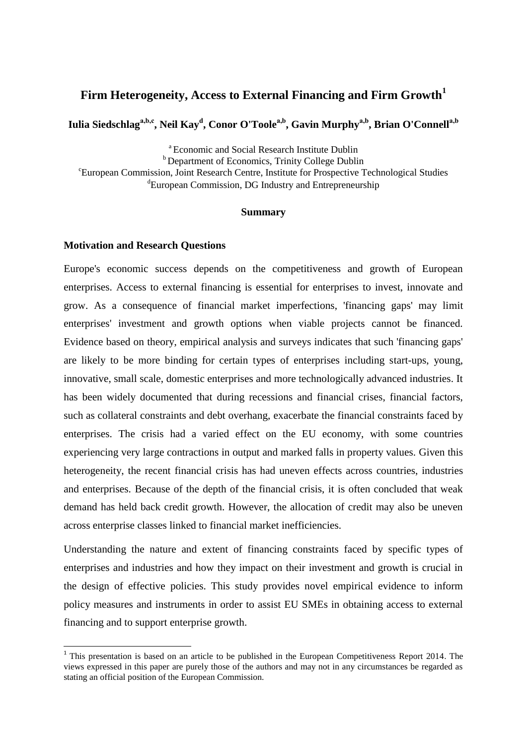# **Firm Heterogeneity, Access to External Financing and Firm Growth<sup>1</sup>**

**Iulia Siedschlaga,b,c , Neil Kay<sup>d</sup> , Conor O'Toolea,b , Gavin Murphya,b, Brian O'Connella,b**

<sup>a</sup> Economic and Social Research Institute Dublin <sup>b</sup> Department of Economics, Trinity College Dublin <sup>c</sup>European Commission, Joint Research Centre, Institute for Prospective Technological Studies <sup>d</sup>European Commission, DG Industry and Entrepreneurship

#### **Summary**

#### **Motivation and Research Questions**

**.** 

Europe's economic success depends on the competitiveness and growth of European enterprises. Access to external financing is essential for enterprises to invest, innovate and grow. As a consequence of financial market imperfections, 'financing gaps' may limit enterprises' investment and growth options when viable projects cannot be financed. Evidence based on theory, empirical analysis and surveys indicates that such 'financing gaps' are likely to be more binding for certain types of enterprises including start-ups, young, innovative, small scale, domestic enterprises and more technologically advanced industries. It has been widely documented that during recessions and financial crises, financial factors, such as collateral constraints and debt overhang, exacerbate the financial constraints faced by enterprises. The crisis had a varied effect on the EU economy, with some countries experiencing very large contractions in output and marked falls in property values. Given this heterogeneity, the recent financial crisis has had uneven effects across countries, industries and enterprises. Because of the depth of the financial crisis, it is often concluded that weak demand has held back credit growth. However, the allocation of credit may also be uneven across enterprise classes linked to financial market inefficiencies.

Understanding the nature and extent of financing constraints faced by specific types of enterprises and industries and how they impact on their investment and growth is crucial in the design of effective policies. This study provides novel empirical evidence to inform policy measures and instruments in order to assist EU SMEs in obtaining access to external financing and to support enterprise growth.

<sup>&</sup>lt;sup>1</sup> This presentation is based on an article to be published in the European Competitiveness Report 2014. The views expressed in this paper are purely those of the authors and may not in any circumstances be regarded as stating an official position of the European Commission.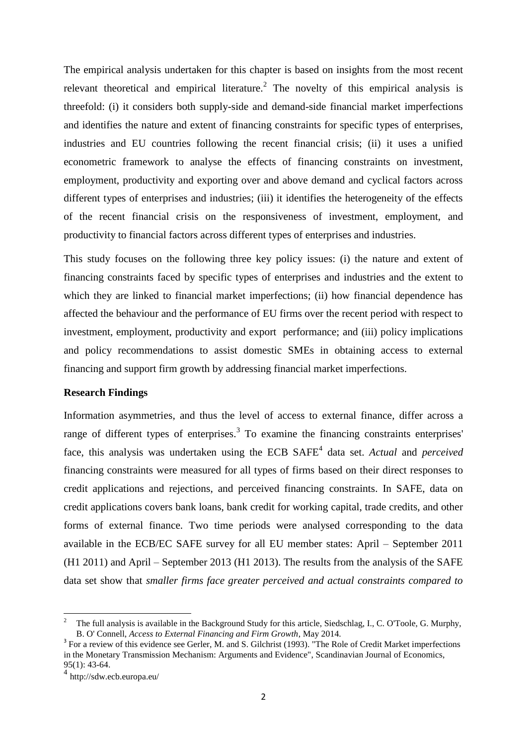The empirical analysis undertaken for this chapter is based on insights from the most recent relevant theoretical and empirical literature.<sup>2</sup> The novelty of this empirical analysis is threefold: (i) it considers both supply-side and demand-side financial market imperfections and identifies the nature and extent of financing constraints for specific types of enterprises, industries and EU countries following the recent financial crisis; (ii) it uses a unified econometric framework to analyse the effects of financing constraints on investment, employment, productivity and exporting over and above demand and cyclical factors across different types of enterprises and industries; (iii) it identifies the heterogeneity of the effects of the recent financial crisis on the responsiveness of investment, employment, and productivity to financial factors across different types of enterprises and industries.

This study focuses on the following three key policy issues: (i) the nature and extent of financing constraints faced by specific types of enterprises and industries and the extent to which they are linked to financial market imperfections; (ii) how financial dependence has affected the behaviour and the performance of EU firms over the recent period with respect to investment, employment, productivity and export performance; and (iii) policy implications and policy recommendations to assist domestic SMEs in obtaining access to external financing and support firm growth by addressing financial market imperfections.

### **Research Findings**

Information asymmetries, and thus the level of access to external finance, differ across a range of different types of enterprises.<sup>3</sup> To examine the financing constraints enterprises face, this analysis was undertaken using the ECB SAFE<sup>4</sup> data set. *Actual* and *perceived* financing constraints were measured for all types of firms based on their direct responses to credit applications and rejections, and perceived financing constraints. In SAFE, data on credit applications covers bank loans, bank credit for working capital, trade credits, and other forms of external finance. Two time periods were analysed corresponding to the data available in the ECB/EC SAFE survey for all EU member states: April – September 2011 (H1 2011) and April – September 2013 (H1 2013). The results from the analysis of the SAFE data set show that *smaller firms face greater perceived and actual constraints compared to* 

1

<sup>2</sup> The full analysis is available in the Background Study for this article, Siedschlag, I., C. O'Toole, G. Murphy, B. O' Connell, *Access to External Financing and Firm Growth*, May 2014.

 $3$  For a review of this evidence see Gerler, M. and S. Gilchrist (1993). "The Role of Credit Market imperfections in the Monetary Transmission Mechanism: Arguments and Evidence", Scandinavian Journal of Economics, 95(1): 43-64.

<sup>4</sup> http://sdw.ecb.europa.eu/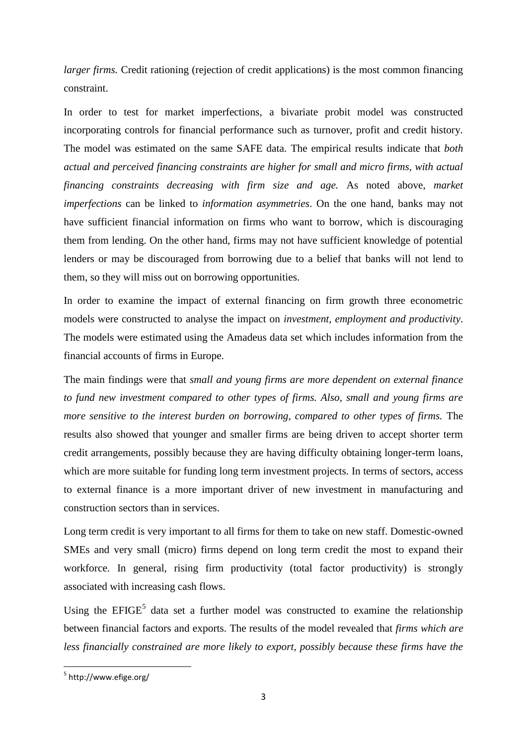*larger firms.* Credit rationing (rejection of credit applications) is the most common financing constraint.

In order to test for market imperfections, a bivariate probit model was constructed incorporating controls for financial performance such as turnover, profit and credit history. The model was estimated on the same SAFE data. The empirical results indicate that *both actual and perceived financing constraints are higher for small and micro firms, with actual financing constraints decreasing with firm size and age.* As noted above, *market imperfections* can be linked to *information asymmetries*. On the one hand, banks may not have sufficient financial information on firms who want to borrow, which is discouraging them from lending. On the other hand, firms may not have sufficient knowledge of potential lenders or may be discouraged from borrowing due to a belief that banks will not lend to them, so they will miss out on borrowing opportunities.

In order to examine the impact of external financing on firm growth three econometric models were constructed to analyse the impact on *investment, employment and productivity*. The models were estimated using the Amadeus data set which includes information from the financial accounts of firms in Europe.

The main findings were that *small and young firms are more dependent on external finance to fund new investment compared to other types of firms. Also, small and young firms are more sensitive to the interest burden on borrowing, compared to other types of firms.* The results also showed that younger and smaller firms are being driven to accept shorter term credit arrangements, possibly because they are having difficulty obtaining longer-term loans, which are more suitable for funding long term investment projects. In terms of sectors, access to external finance is a more important driver of new investment in manufacturing and construction sectors than in services.

Long term credit is very important to all firms for them to take on new staff. Domestic-owned SMEs and very small (micro) firms depend on long term credit the most to expand their workforce. In general, rising firm productivity (total factor productivity) is strongly associated with increasing cash flows.

Using the  $EFIGE<sup>5</sup>$  data set a further model was constructed to examine the relationship between financial factors and exports. The results of the model revealed that *firms which are less financially constrained are more likely to export, possibly because these firms have the* 

<sup>-&</sup>lt;br><sup>5</sup> http://www.efige.org/